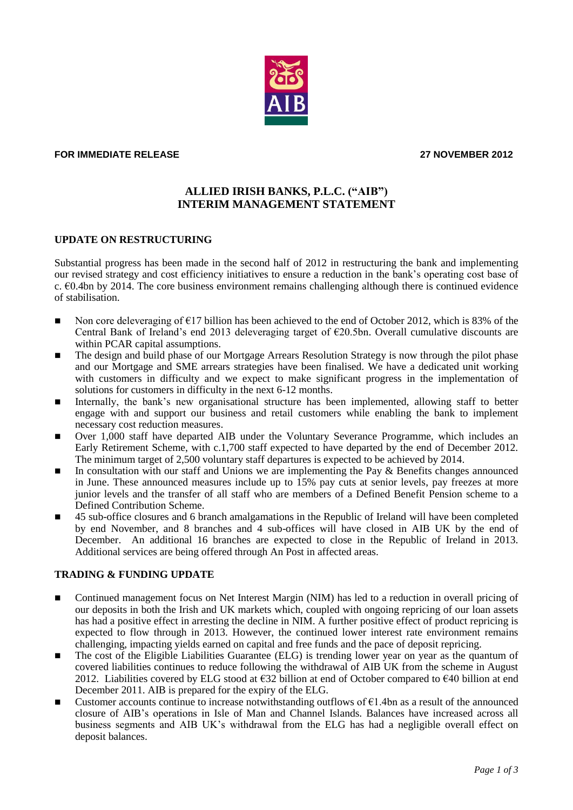## **FOR IMMEDIATE RELEASE 27 NOVEMBER 2012**

# **ALLIED IRISH BANKS, P.L.C. ("AIB") INTERIM MANAGEMENT STATEMENT**

#### **UPDATE ON RESTRUCTURING**

Substantial progress has been made in the second half of 2012 in restructuring the bank and implementing our revised strategy and cost efficiency initiatives to ensure a reduction in the bank"s operating cost base of c.  $60.4$ bn by 2014. The core business environment remains challenging although there is continued evidence of stabilisation.

- Non core deleveraging of  $\epsilon$ 17 billion has been achieved to the end of October 2012, which is 83% of the Central Bank of Ireland's end 2013 deleveraging target of  $\epsilon$ 20.5bn. Overall cumulative discounts are within PCAR capital assumptions.
- **The design and build phase of our Mortgage Arrears Resolution Strategy is now through the pilot phase** and our Mortgage and SME arrears strategies have been finalised. We have a dedicated unit working with customers in difficulty and we expect to make significant progress in the implementation of solutions for customers in difficulty in the next 6-12 months.
- Internally, the bank's new organisational structure has been implemented, allowing staff to better engage with and support our business and retail customers while enabling the bank to implement necessary cost reduction measures.
- Over 1,000 staff have departed AIB under the Voluntary Severance Programme, which includes an Early Retirement Scheme, with c.1,700 staff expected to have departed by the end of December 2012. The minimum target of 2,500 voluntary staff departures is expected to be achieved by 2014.
- In consultation with our staff and Unions we are implementing the Pay  $\&$  Benefits changes announced in June. These announced measures include up to 15% pay cuts at senior levels, pay freezes at more junior levels and the transfer of all staff who are members of a Defined Benefit Pension scheme to a Defined Contribution Scheme.
- 45 sub-office closures and 6 branch amalgamations in the Republic of Ireland will have been completed by end November, and 8 branches and 4 sub-offices will have closed in AIB UK by the end of December. An additional 16 branches are expected to close in the Republic of Ireland in 2013. Additional services are being offered through An Post in affected areas.

### **TRADING & FUNDING UPDATE**

- Continued management focus on Net Interest Margin (NIM) has led to a reduction in overall pricing of our deposits in both the Irish and UK markets which, coupled with ongoing repricing of our loan assets has had a positive effect in arresting the decline in NIM. A further positive effect of product repricing is expected to flow through in 2013. However, the continued lower interest rate environment remains challenging, impacting yields earned on capital and free funds and the pace of deposit repricing.
- The cost of the Eligible Liabilities Guarantee (ELG) is trending lower year on year as the quantum of covered liabilities continues to reduce following the withdrawal of AIB UK from the scheme in August 2012. Liabilities covered by ELG stood at  $\epsilon$ 32 billion at end of October compared to  $\epsilon$ 40 billion at end December 2011. AIB is prepared for the expiry of the ELG.
- Customer accounts continue to increase notwithstanding outflows of  $€1.4$ bn as a result of the announced closure of AIB"s operations in Isle of Man and Channel Islands. Balances have increased across all business segments and AIB UK"s withdrawal from the ELG has had a negligible overall effect on deposit balances.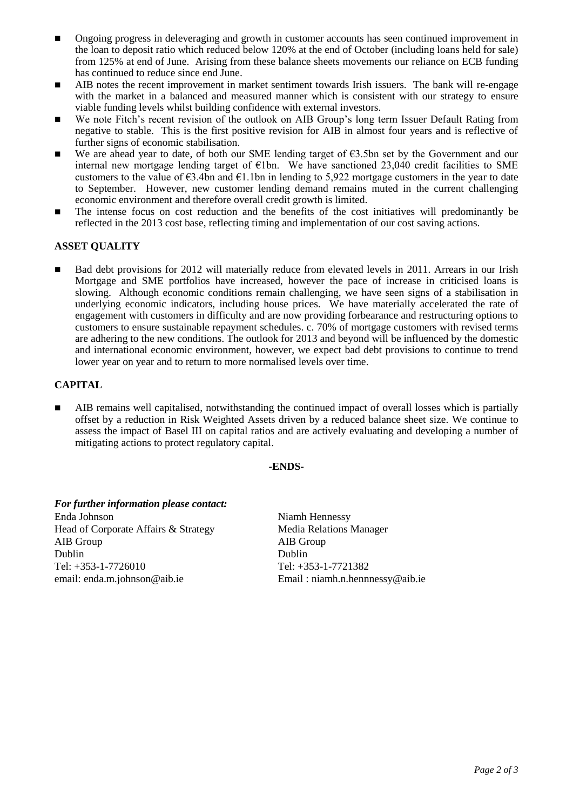- Ongoing progress in deleveraging and growth in customer accounts has seen continued improvement in the loan to deposit ratio which reduced below 120% at the end of October (including loans held for sale) from 125% at end of June. Arising from these balance sheets movements our reliance on ECB funding has continued to reduce since end June.
- AIB notes the recent improvement in market sentiment towards Irish issuers. The bank will re-engage with the market in a balanced and measured manner which is consistent with our strategy to ensure viable funding levels whilst building confidence with external investors.
- We note Fitch's recent revision of the outlook on AIB Group's long term Issuer Default Rating from negative to stable. This is the first positive revision for AIB in almost four years and is reflective of further signs of economic stabilisation.
- We are ahead year to date, of both our SME lending target of  $\epsilon$ 3.5bn set by the Government and our internal new mortgage lending target of  $E1bn$ . We have sanctioned 23,040 credit facilities to SME customers to the value of  $63.4$ bn and  $61.1$ bn in lending to 5,922 mortgage customers in the year to date to September. However, new customer lending demand remains muted in the current challenging economic environment and therefore overall credit growth is limited.
- The intense focus on cost reduction and the benefits of the cost initiatives will predominantly be reflected in the 2013 cost base, reflecting timing and implementation of our cost saving actions.

## **ASSET QUALITY**

■ Bad debt provisions for 2012 will materially reduce from elevated levels in 2011. Arrears in our Irish Mortgage and SME portfolios have increased, however the pace of increase in criticised loans is slowing. Although economic conditions remain challenging, we have seen signs of a stabilisation in underlying economic indicators, including house prices. We have materially accelerated the rate of engagement with customers in difficulty and are now providing forbearance and restructuring options to customers to ensure sustainable repayment schedules. c. 70% of mortgage customers with revised terms are adhering to the new conditions. The outlook for 2013 and beyond will be influenced by the domestic and international economic environment, however, we expect bad debt provisions to continue to trend lower year on year and to return to more normalised levels over time.

## **CAPITAL**

 AIB remains well capitalised, notwithstanding the continued impact of overall losses which is partially offset by a reduction in Risk Weighted Assets driven by a reduced balance sheet size. We continue to assess the impact of Basel III on capital ratios and are actively evaluating and developing a number of mitigating actions to protect regulatory capital.

### **-ENDS-**

| For further information please contact: |           |
|-----------------------------------------|-----------|
| Enda Johnson                            | Niamh     |
| Head of Corporate Affairs & Strategy    | Media l   |
| AIB Group                               | $AIB$ Gr  |
| Dublin                                  | Dublin    |
| Tel: +353-1-7726010                     | Tel: $+3$ |
| email: enda.m.johnson@aib.ie            | Email:    |

Niamh Hennessy Media Relations Manager AIB Group Tel: +353-1-7721382 Email: niamh.n.hennnessy@aib.ie